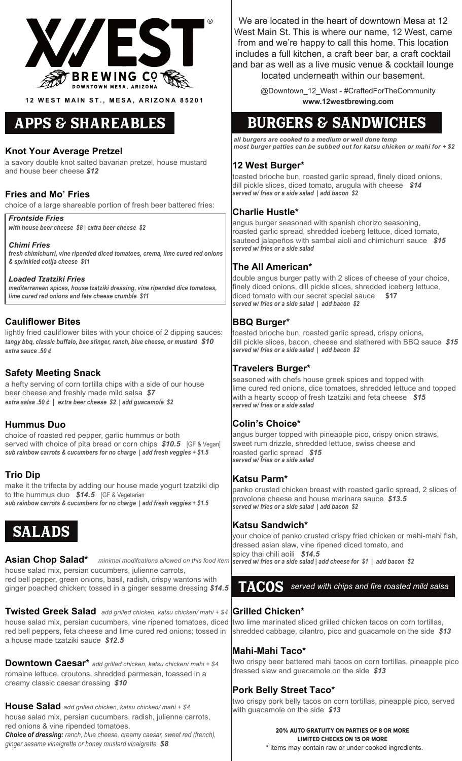

**12 WEST MAIN ST., MESA, ARIZONA 85201**

# Apps & shareables

### **Knot Your Average Pretzel**

a savory double knot salted bavarian pretzel, house mustard and house beer cheese *\$12*

#### **Fries and Mo' Fries**

choice of a large shareable portion of fresh beer battered fries:

*Frontside Fries*

*with house beer cheese \$8 | extra beer cheese \$2* 

#### *Chimi Fries*

*fresh chimichurri, vine ripended diced tomatoes, crema, lime cured red onions & sprinkled cotija cheese \$11*

*Loaded Tzatziki Fries mediterranean spices, house tzatziki dressing, vine ripended dice tomatoes, lime cured red onions and feta cheese crumble \$11*

### **Cauliflower Bites**

lightly fried cauliflower bites with your choice of 2 dipping sauces: *tangy bbq, classic buffalo, bee stinger, ranch, blue cheese, or mustard \$10 extra sauce .50 ¢* 

### **Safety Meeting Snack**

a hefty serving of corn tortilla chips with a side of our house beer cheese and freshly made mild salsa *\$7 extra salsa .50 ¢ | extra beer cheese \$2 | add guacamole \$2*

#### **Hummus Duo**

choice of roasted red pepper, garlic hummus or both served with choice of pita bread or corn chips *\$10.5* [GF & Vegan] *sub rainbow carrots & cucumbers for no charge | add fresh veggies + \$1.5*

### **Trio Dip**

make it the trifecta by adding our house made yogurt tzatziki dip to the hummus duo *\$14.5* [GF & Vegetarian *sub rainbow carrots & cucumbers for no charge | add fresh veggies + \$1.5*

# SALADS

**Asian Chop Salad\*** *minimal modifcations allowed on this food item* house salad mix, persian cucumbers, julienne carrots, red bell pepper, green onions, basil, radish, crispy wantons with ginger poached chicken; tossed in a ginger sesame dressing *\$14.5*

**Grilled Chicken\* Twisted Greek Salad** *add grilled chicken, katsu chicken/ mahi + \$4* house salad mix, persian cucumbers, vine ripened tomatoes, diced |two lime marinated sliced grilled chicken tacos on corn tortillas, red bell peppers, feta cheese and lime cured red onions; tossed in a house made tzatziki sauce *\$12.5*

**Downtown Caesar\*** *add grilled chicken, katsu chicken/ mahi + \$4* romaine lettuce, croutons, shredded parmesan, toassed in a creamy classic caesar dressing *\$10*

**House Salad** *add grilled chicken, katsu chicken/ mahi + \$4* house salad mix, persian cucumbers, radish, julienne carrots, red onions & vine ripended tomatoes.

*Choice of dressing: ranch, blue cheese, creamy caesar, sweet red (french), ginger sesame vinaigrette or honey mustard vinaigrette \$8*

We are located in the heart of downtown Mesa at 12 West Main St. This is where our name, 12 West, came from and we're happy to call this home. This location includes a full kitchen, a craft beer bar, a craft cocktail and bar as well as a live music venue & cocktail lounge located underneath within our basement.

> @Downtown\_12\_West - #CraftedForTheCommunity **www.12westbrewing.com**

# Burgers & SANDWICHES

*all burgers are cooked to a medium or well done temp most burger patties can be subbed out for katsu chicken or mahi for + \$2*

### **12 West Burger\***

toasted brioche bun, roasted garlic spread, finely diced onions, dill pickle slices, diced tomato, arugula with cheese *\$14 served w/ fries or a side salad | add bacon \$2*

### **Charlie Hustle\***

angus burger seasoned with spanish chorizo seasoning, roasted garlic spread, shredded iceberg lettuce, diced tomato, sauteed jalapeños with sambal aioli and chimichurri sauce *\$15 served w/ fries or a side salad*

### **The All American\***

double angus burger patty with 2 slices of cheese of your choice, finely diced onions, dill pickle slices, shredded iceberg lettuce, diced tomato with our secret special sauce **\$17** *served w/ fries or a side salad | add bacon \$2*

### **BBQ Burger\***

toasted brioche bun, roasted garlic spread, crispy onions, dill pickle slices, bacon, cheese and slathered with BBQ sauce *\$15 served w/ fries or a side salad | add bacon \$2*

### **Travelers Burger\***

seasoned with chefs house greek spices and topped with lime cured red onions, dice tomatoes, shredded lettuce and topped with a hearty scoop of fresh tzatziki and feta cheese *\$15 served w/ fries or a side salad*

### **Colin's Choice\***

angus burger topped with pineapple pico, crispy onion straws, sweet rum drizzle, shredded lettuce, swiss cheese and roasted garlic spread *\$15 served w/ fries or a side salad*

#### **Katsu Parm\***

panko crusted chicken breast with roasted garlic spread, 2 slices of provolone cheese and house marinara sauce *\$13.5 served w/ fries or a side salad | add bacon \$2*

### **Katsu Sandwich\***

your choice of panko crusted crispy fried chicken or mahi-mahi fish, dressed asian slaw, vine ripened diced tomato, and spicy thai chili aoili *\$14.5 served w/ fries or a side salad | add cheese for \$1 | add bacon \$2*

# TACOS *served with chips and fire roasted mild salsa*

shredded cabbage, cilantro, pico and guacamole on the side *\$13*

### **Mahi-Mahi Taco\***

two crispy beer battered mahi tacos on corn tortillas, pineapple pico dressed slaw and guacamole on the side *\$13*

### **Pork Belly Street Taco\***

two crispy pork belly tacos on corn tortillas, pineapple pico, served with guacamole on the side *\$13*

#### 20% auto gratuity on parties of 8 or more limited checks on 15 or more

\* items may contain raw or under cooked ingredients.